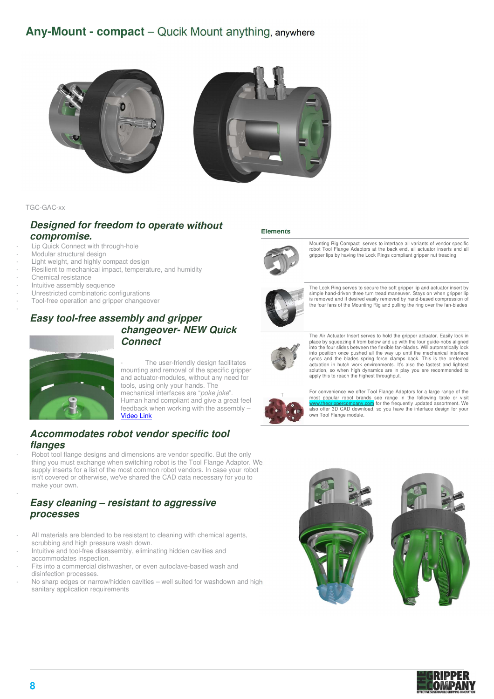# **Any-Mount - compact** – Qucik Mount anything, anywhere





TGC-GAC-xx

#### **Designed for freedom to operate without compromise.**

- Lip Quick Connect with through-hole
- Modular structural design
- Light weight, and highly compact design
- Resilient to mechanical impact, temperature, and humidity
- Chemical resistance

-

-

- Intuitive assembly sequence
- Unrestricted combinatoric configurations
- Tool-free operation and gripper changeover

## **Easy tool-free assembly and gripper changeover- NEW Quick Connect**



The user-friendly design facilitates mounting and removal of the specific gripper and actuator-modules, without any need for tools, using only your hands. The mechanical interfaces are "poke joke". Human hand compliant and give a great feel feedback when working with the assembly – Video Link

#### **Accommodates robot vendor specific tool flanges**

Robot tool flange designs and dimensions are vendor specific. But the only thing you must exchange when switching robot is the Tool Flange Adaptor. We supply inserts for a list of the most common robot vendors. In case your robot isn't covered or otherwise, we've shared the CAD data necessary for you to make your own.

## **Easy cleaning – resistant to aggressive processes**

- All materials are blended to be resistant to cleaning with chemical agents, scrubbing and high pressure wash down.
- Intuitive and tool-free disassembly, eliminating hidden cavities and accommodates inspection.
- Fits into a commercial dishwasher, or even autoclave-based wash and disinfection processes.
- No sharp edges or narrow/hidden cavities well suited for washdown and high sanitary application requirements

# **Elements**



Mounting Rig Compact serves to interface all variants of vendor specific robot Tool Flange Adaptors at the back end, all actuator inserts and all gripper lips by having the Lock Rings compliant gripper nut treading



The Lock Ring serves to secure the soft gripper lip and actuator insert by simple hand-driven three turn tread maneuver. Stays on when gripper lip is removed and if desired easily removed by hand-based compression of the four fans of the Mounting Rig and pulling the ring over the fan-blades



The Air Actuator Insert serves to hold the gripper actuator. Easily lock in place by squeezing it from below and up with the four guide-nobs aligned into the four slides between the flexible fan-blades. Will automatically lock into position once pushed all the way up until the mechanical interface syncs and the blades spring force clamps back. This is the preferred actuation in hutch work environments. It's also the fastest and lightest solution, so when high dynamics are in play you are recommended to apply this to reach the highest throughput.



For convenience we offer Tool Flange Adaptors for a large range of the most popular robot brands see range in the following table or visit<br>www.thegrippercompany.com for the frequently updated assortment. We<br>also offer 3D CAD download, so you have the interface design for your<br>own Tool Flange